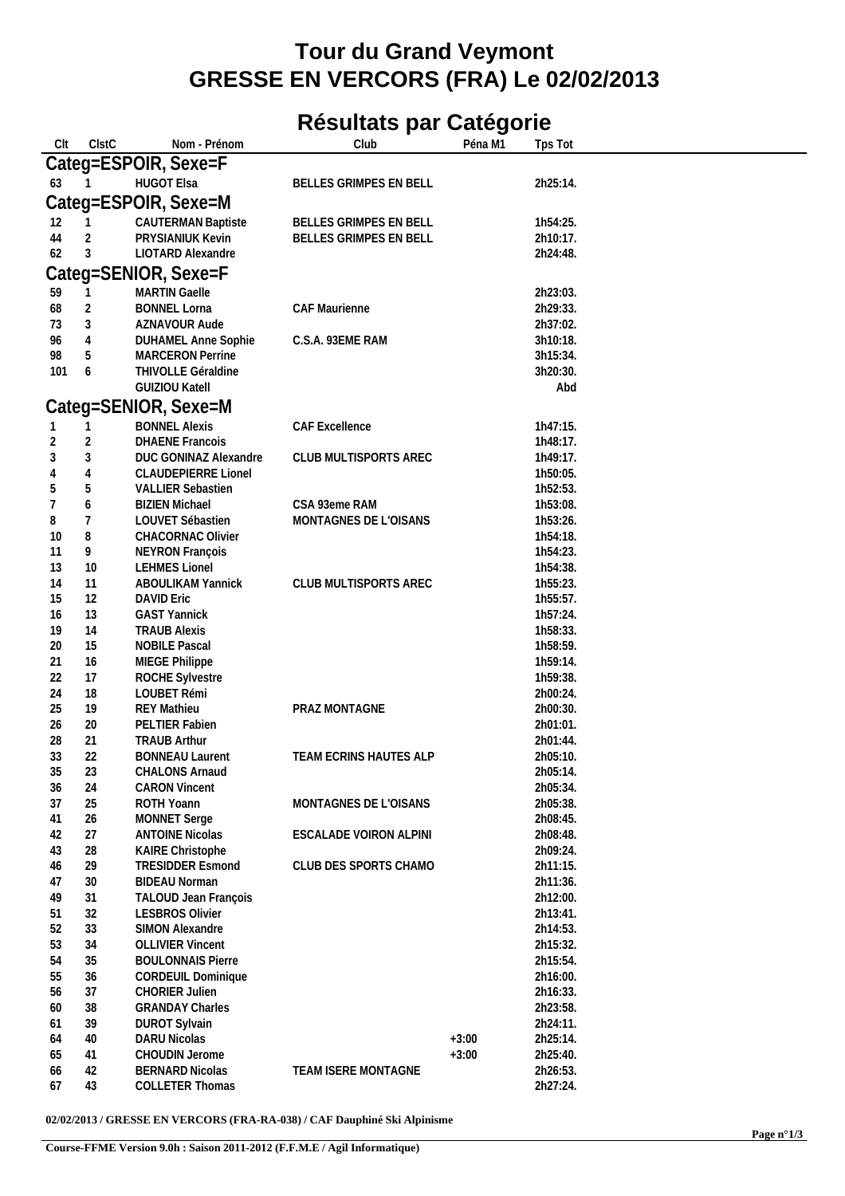## **Tour du Grand Veymont GRESSE EN VERCORS (FRA) Le 02/02/2013**

## **Résultats par Catégorie**

| Clt | <b>CIstC</b> | Nom - Prénom               | Club                       | Péna M1 | Tps Tot  |  |
|-----|--------------|----------------------------|----------------------------|---------|----------|--|
|     |              | Categ=ESPOIR, Sexe=F       |                            |         |          |  |
| 63  |              | <b>HUGOT Elsa</b>          | BELLES GRIMPES EN BELL     |         | 2h25:14. |  |
|     |              | Categ=ESPOIR, Sexe=M       |                            |         |          |  |
|     |              |                            |                            |         |          |  |
| 12  | 1            | <b>CAUTERMAN Baptiste</b>  | BELLES GRIMPES EN BELL     |         | 1h54:25. |  |
| 44  | 2            | <b>PRYSIANIUK Kevin</b>    | BELLES GRIMPES EN BELL     |         | 2h10:17. |  |
| 62  | 3            | LIOTARD Alexandre          |                            |         | 2h24:48. |  |
|     |              | Categ=SENIOR, Sexe=F       |                            |         |          |  |
| 59  | 1            | <b>MARTIN Gaelle</b>       |                            |         | 2h23:03. |  |
| 68  | 2            | <b>BONNEL Lorna</b>        | CAF Maurienne              |         | 2h29:33. |  |
| 73  | 3            | AZNAVOUR Aude              |                            |         | 2h37:02. |  |
| 96  | 4            | DUHAMEL Anne Sophie        | C.S.A. 93EME RAM           |         | 3h10:18. |  |
| 98  | 5            | <b>MARCERON Perrine</b>    |                            |         | 3h15:34. |  |
| 101 | 6            | THIVOLLE Géraldine         |                            |         | 3h20:30. |  |
|     |              | <b>GUIZIOU Katell</b>      |                            |         | Abd      |  |
|     |              | Categ=SENIOR, Sexe=M       |                            |         |          |  |
| 1   | 1            | <b>BONNEL Alexis</b>       | CAF Excellence             |         | 1h47:15. |  |
| 2   | 2            | <b>DHAENE Francois</b>     |                            |         | 1h48:17. |  |
| 3   | $\sqrt{3}$   | DUC GONINAZ Alexandre      | CLUB MULTISPORTS AREC      |         | 1h49:17. |  |
|     | 4            | <b>CLAUDEPIERRE Lionel</b> |                            |         | 1h50:05. |  |
| 5   | 5            | <b>VALLIER Sebastien</b>   |                            |         | 1h52:53. |  |
| 7   | 6            | <b>BIZIEN Michael</b>      | CSA 93eme RAM              |         | 1h53:08. |  |
| 8   | 7            | LOUVET Sébastien           | MONTAGNES DE L'OISANS      |         | 1h53:26. |  |
| 10  | 8            | CHACORNAC Olivier          |                            |         | 1h54:18. |  |
| 11  | 9            | NEYRON François            |                            |         | 1h54:23. |  |
| 13  | 10           | <b>LEHMES Lionel</b>       |                            |         | 1h54:38. |  |
| 14  | 11           | ABOULIKAM Yannick          | CLUB MULTISPORTS AREC      |         | 1h55:23. |  |
| 15  | 12           | <b>DAVID Eric</b>          |                            |         | 1h55:57. |  |
| 16  | 13           | <b>GAST Yannick</b>        |                            |         | 1h57:24. |  |
| 19  | 14           | <b>TRAUB Alexis</b>        |                            |         | 1h58:33. |  |
| 20  | 15           | <b>NOBILE Pascal</b>       |                            |         | 1h58:59. |  |
| 21  | 16           | MIEGE Philippe             |                            |         | 1h59:14. |  |
| 22  | 17           | ROCHE Sylvestre            |                            |         | 1h59:38. |  |
| 24  | 18           | LOUBET Rémi                |                            |         | 2h00:24. |  |
| 25  | 19           | <b>REY Mathieu</b>         | PRAZ MONTAGNE              |         | 2h00:30. |  |
| 26  | 20           | PELTIER Fabien             |                            |         | 2h01:01. |  |
| 28  | 21           | <b>TRAUB Arthur</b>        |                            |         | 2h01:44. |  |
| 33  | 22           | <b>BONNEAU Laurent</b>     | TEAM ECRINS HAUTES ALP     |         | 2h05:10. |  |
| 35  | 23           | CHALONS Arnaud             |                            |         | 2h05:14. |  |
| 36  | 24           | <b>CARON Vincent</b>       |                            |         | 2h05:34. |  |
| 37  | 25           | ROTH Yoann                 | MONTAGNES DE L'OISANS      |         | 2h05:38. |  |
| 41  | 26           | <b>MONNET Serge</b>        |                            |         | 2h08:45. |  |
| 42  | 27           | <b>ANTOINE Nicolas</b>     | ESCALADE VOIRON ALPINI     |         | 2h08:48. |  |
| 43  | 28           | KAIRE Christophe           |                            |         | 2h09:24. |  |
| 46  | 29           | <b>TRESIDDER Esmond</b>    | CLUB DES SPORTS CHAMO      |         | 2h11:15. |  |
| 47  | 30           | <b>BIDEAU Norman</b>       |                            |         | 2h11:36. |  |
| 49  | 31           | TALOUD Jean François       |                            |         | 2h12:00. |  |
| 51  | 32           | <b>LESBROS Olivier</b>     |                            |         | 2h13:41. |  |
| 52  | 33           | SIMON Alexandre            |                            |         | 2h14:53. |  |
| 53  | 34           | <b>OLLIVIER Vincent</b>    |                            |         | 2h15:32. |  |
| 54  | 35           | <b>BOULONNAIS Pierre</b>   |                            |         | 2h15:54. |  |
| 55  | 36           | <b>CORDEUIL Dominique</b>  |                            |         | 2h16:00. |  |
| 56  | 37           | <b>CHORIER Julien</b>      |                            |         | 2h16:33. |  |
| 60  | 38           | <b>GRANDAY Charles</b>     |                            |         | 2h23:58. |  |
| 61  | 39           | <b>DUROT Sylvain</b>       |                            |         | 2h24:11. |  |
| 64  | 40           | <b>DARU Nicolas</b>        |                            | $+3:00$ | 2h25:14. |  |
| 65  | 41           | CHOUDIN Jerome             |                            | $+3:00$ | 2h25:40. |  |
| 66  | 42           | <b>BERNARD Nicolas</b>     | <b>TEAM ISERE MONTAGNE</b> |         | 2h26:53. |  |
| 67  | 43           | COLLETER Thomas            |                            |         | 2h27:24. |  |

**02/02/2013 / GRESSE EN VERCORS (FRA-RA-038) / CAF Dauphiné Ski Alpinisme**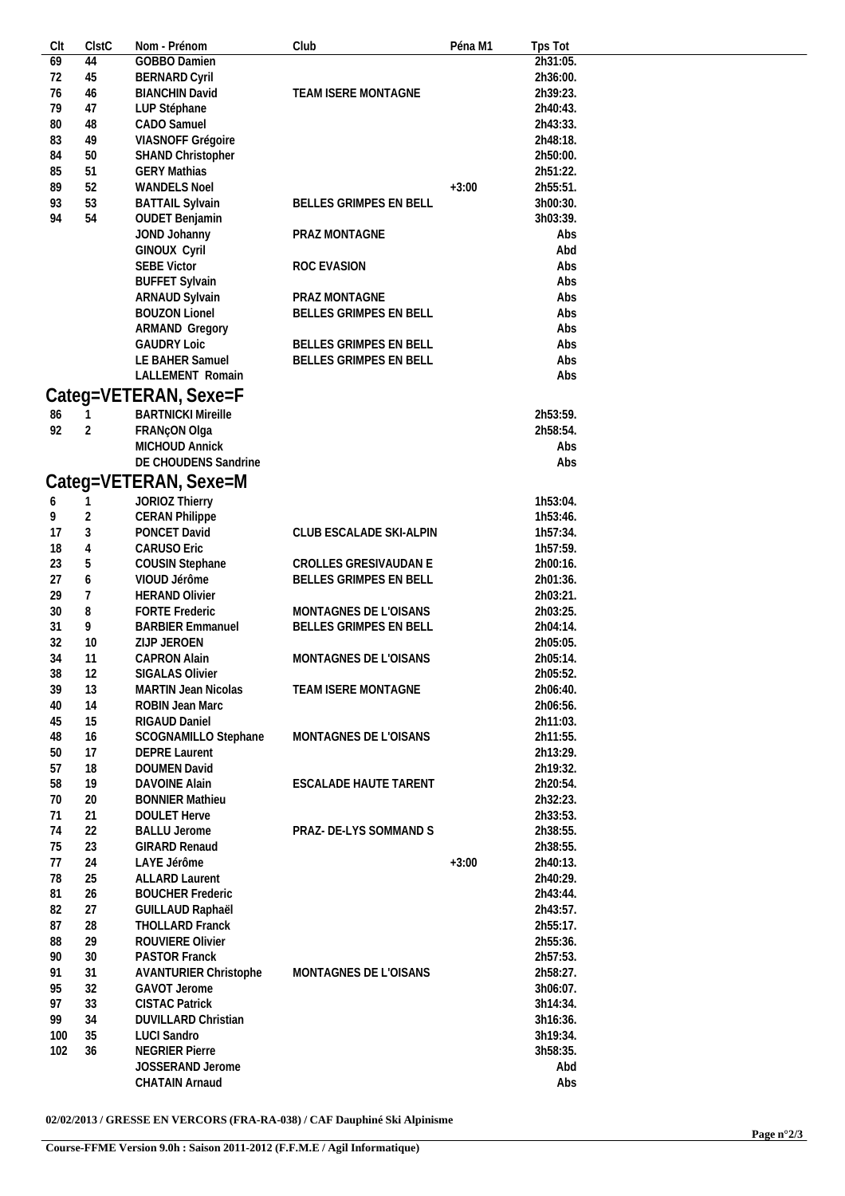| CIt | ClstC          | Nom - Prénom                 | Club                    | Péna M1 | Tps Tot  |
|-----|----------------|------------------------------|-------------------------|---------|----------|
| 69  | 44             | <b>GOBBO Damien</b>          |                         |         | 2h31:05. |
| 72  | 45             | <b>BERNARD Cyril</b>         |                         |         | 2h36:00. |
| 76  | 46             | <b>BIANCHIN David</b>        | TEAM ISERE MONTAGNE     |         | 2h39:23. |
| 79  | 47             | LUP Stéphane                 |                         |         | 2h40:43. |
| 80  | 48             | CADO Samuel                  |                         |         | 2h43:33. |
| 83  | 49             | VIASNOFF Grégoire            |                         |         | 2h48:18. |
|     |                |                              |                         |         |          |
| 84  | 50             | <b>SHAND Christopher</b>     |                         |         | 2h50:00. |
| 85  | 51             | <b>GERY Mathias</b>          |                         |         | 2h51:22. |
| 89  | 52             | <b>WANDELS Noel</b>          |                         | $+3:00$ | 2h55:51. |
| 93  | 53             | <b>BATTAIL Sylvain</b>       | BELLES GRIMPES EN BELL  |         | 3h00:30. |
| 94  | 54             | <b>OUDET Benjamin</b>        |                         |         | 3h03:39. |
|     |                | JOND Johanny                 | PRAZ MONTAGNE           |         | Abs      |
|     |                | GINOUX Cyril                 |                         |         | Abd      |
|     |                | <b>SEBE Victor</b>           | ROC EVASION             |         | Abs      |
|     |                | <b>BUFFET Sylvain</b>        |                         |         | Abs      |
|     |                | ARNAUD Sylvain               | PRAZ MONTAGNE           |         | Abs      |
|     |                | <b>BOUZON Lionel</b>         | BELLES GRIMPES EN BELL  |         | Abs      |
|     |                |                              |                         |         | Abs      |
|     |                | ARMAND Gregory               |                         |         |          |
|     |                | <b>GAUDRY Loic</b>           | BELLES GRIMPES EN BELL  |         | Abs      |
|     |                | LE BAHER Samuel              | BELLES GRIMPES EN BELL  |         | Abs      |
|     |                | LALLEMENT Romain             |                         |         | Abs      |
|     |                | Categ=VETERAN, Sexe=F        |                         |         |          |
|     |                | <b>BARTNICKI Mireille</b>    |                         |         | 2h53:59. |
| 86  |                |                              |                         |         |          |
| 92  | $\overline{2}$ | FRANçON Olga                 |                         |         | 2h58:54. |
|     |                | <b>MICHOUD Annick</b>        |                         |         | Abs      |
|     |                | DE CHOUDENS Sandrine         |                         |         | Abs      |
|     |                | Categ=VETERAN, Sexe=M        |                         |         |          |
|     |                |                              |                         |         | 1h53:04. |
| 6   | 1              | JORIOZ Thierry               |                         |         |          |
| 9   | 2              | <b>CERAN Philippe</b>        |                         |         | 1h53:46. |
| 17  | 3              | PONCET David                 | CLUB ESCALADE SKI-ALPIN |         | 1h57:34. |
| 18  | 4              | <b>CARUSO Eric</b>           |                         |         | 1h57:59. |
| 23  | 5              | COUSIN Stephane              | CROLLES GRESIVAUDAN E   |         | 2h00:16. |
| 27  | 6              | VIOUD Jérôme                 | BELLES GRIMPES EN BELL  |         | 2h01:36. |
| 29  | 7              | <b>HERAND Olivier</b>        |                         |         | 2h03:21. |
| 30  | 8              | <b>FORTE Frederic</b>        | MONTAGNES DE L'OISANS   |         | 2h03:25. |
| 31  | 9              | <b>BARBIER Emmanuel</b>      | BELLES GRIMPES EN BELL  |         | 2h04:14. |
| 32  | 10             | ZIJP JEROEN                  |                         |         | 2h05:05. |
| 34  | 11             | <b>CAPRON Alain</b>          | MONTAGNES DE L'OISANS   |         | 2h05:14. |
|     |                |                              |                         |         |          |
| 38  | 12             | <b>SIGALAS Olivier</b>       |                         |         | 2h05:52. |
| 39  | 13             | <b>MARTIN Jean Nicolas</b>   | TEAM ISERE MONTAGNE     |         | 2h06:40. |
| 40  | 14             | ROBIN Jean Marc              |                         |         | 2h06:56. |
| 45  | 15             | RIGAUD Daniel                |                         |         | 2h11:03. |
| 48  | 16             | SCOGNAMILLO Stephane         | MONTAGNES DE L'OISANS   |         | 2h11:55. |
| 50  | 17             | <b>DEPRE Laurent</b>         |                         |         | 2h13:29. |
| 57  | 18             | DOUMEN David                 |                         |         | 2h19:32. |
| 58  | 19             | <b>DAVOINE Alain</b>         | ESCALADE HAUTE TARENT   |         | 2h20:54. |
| 70  | 20             | <b>BONNIER Mathieu</b>       |                         |         | 2h32:23. |
| 71  | 21             | <b>DOULET Herve</b>          |                         |         | 2h33:53. |
| 74  | 22             |                              | PRAZ- DE-LYS SOMMAND S  |         | 2h38:55. |
|     |                | <b>BALLU Jerome</b>          |                         |         |          |
| 75  | 23             | GIRARD Renaud                |                         |         | 2h38:55. |
| 77  | 24             | LAYE Jérôme                  |                         | $+3:00$ | 2h40:13. |
| 78  | 25             | <b>ALLARD Laurent</b>        |                         |         | 2h40:29. |
| 81  | 26             | <b>BOUCHER Frederic</b>      |                         |         | 2h43:44. |
| 82  | 27             | GUILLAUD Raphaël             |                         |         | 2h43:57. |
| 87  | 28             | THOLLARD Franck              |                         |         | 2h55:17. |
| 88  | 29             | ROUVIERE Olivier             |                         |         | 2h55:36. |
| 90  | 30             | <b>PASTOR Franck</b>         |                         |         | 2h57:53. |
| 91  | 31             | <b>AVANTURIER Christophe</b> | MONTAGNES DE L'OISANS   |         | 2h58:27. |
| 95  | 32             | GAVOT Jerome                 |                         |         | 3h06:07. |
| 97  |                |                              |                         |         |          |
|     | 33             | <b>CISTAC Patrick</b>        |                         |         | 3h14:34. |
| 99  | 34             | DUVILLARD Christian          |                         |         | 3h16:36. |
| 100 | 35             | <b>LUCI Sandro</b>           |                         |         | 3h19:34. |
| 102 | 36             | <b>NEGRIER Pierre</b>        |                         |         | 3h58:35. |
|     |                | JOSSERAND Jerome             |                         |         | Abd      |
|     |                | CHATAIN Arnaud               |                         |         | Abs      |

**02/02/2013 / GRESSE EN VERCORS (FRA-RA-038) / CAF Dauphiné Ski Alpinisme**